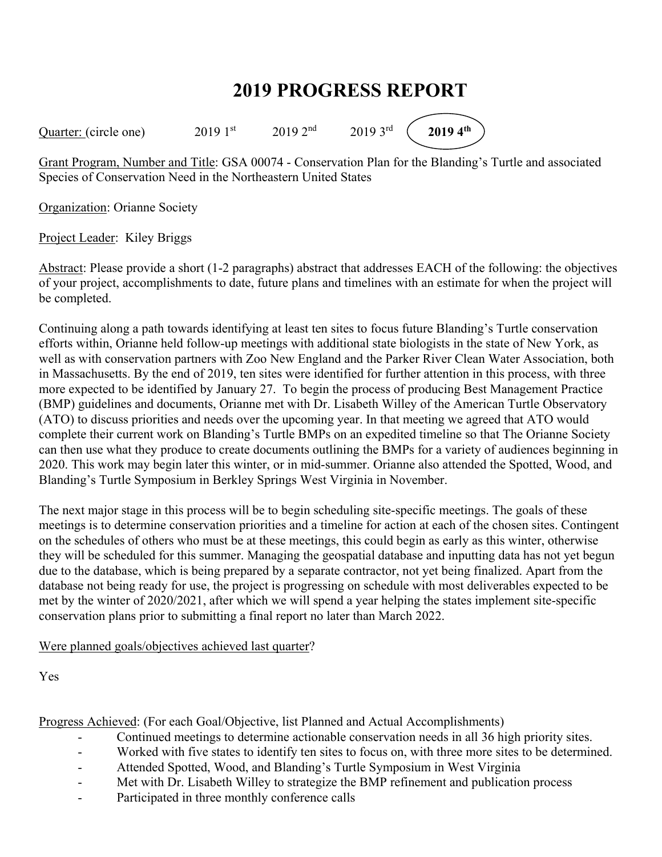## **2019 PROGRESS REPORT**

Quarter: (circle one) 2019 1<sup>st</sup> 2019 2<sup>nd</sup> 2019 3<sup>rd</sup> (2019 4<sup>th</sup>)

Grant Program, Number and Title: GSA 00074 - Conservation Plan for the Blanding's Turtle and associated Species of Conservation Need in the Northeastern United States

Organization: Orianne Society

Project Leader: Kiley Briggs

Abstract: Please provide a short (1-2 paragraphs) abstract that addresses EACH of the following: the objectives of your project, accomplishments to date, future plans and timelines with an estimate for when the project will be completed.

Continuing along a path towards identifying at least ten sites to focus future Blanding's Turtle conservation efforts within, Orianne held follow-up meetings with additional state biologists in the state of New York, as well as with conservation partners with Zoo New England and the Parker River Clean Water Association, both in Massachusetts. By the end of 2019, ten sites were identified for further attention in this process, with three more expected to be identified by January 27. To begin the process of producing Best Management Practice (BMP) guidelines and documents, Orianne met with Dr. Lisabeth Willey of the American Turtle Observatory (ATO) to discuss priorities and needs over the upcoming year. In that meeting we agreed that ATO would complete their current work on Blanding's Turtle BMPs on an expedited timeline so that The Orianne Society can then use what they produce to create documents outlining the BMPs for a variety of audiences beginning in 2020. This work may begin later this winter, or in mid-summer. Orianne also attended the Spotted, Wood, and Blanding's Turtle Symposium in Berkley Springs West Virginia in November.

The next major stage in this process will be to begin scheduling site-specific meetings. The goals of these meetings is to determine conservation priorities and a timeline for action at each of the chosen sites. Contingent on the schedules of others who must be at these meetings, this could begin as early as this winter, otherwise they will be scheduled for this summer. Managing the geospatial database and inputting data has not yet begun due to the database, which is being prepared by a separate contractor, not yet being finalized. Apart from the database not being ready for use, the project is progressing on schedule with most deliverables expected to be met by the winter of 2020/2021, after which we will spend a year helping the states implement site-specific conservation plans prior to submitting a final report no later than March 2022.

Were planned goals/objectives achieved last quarter?

Yes

Progress Achieved: (For each Goal/Objective, list Planned and Actual Accomplishments)

- Continued meetings to determine actionable conservation needs in all 36 high priority sites.
- Worked with five states to identify ten sites to focus on, with three more sites to be determined.
- Attended Spotted, Wood, and Blanding's Turtle Symposium in West Virginia
- Met with Dr. Lisabeth Willey to strategize the BMP refinement and publication process
- Participated in three monthly conference calls